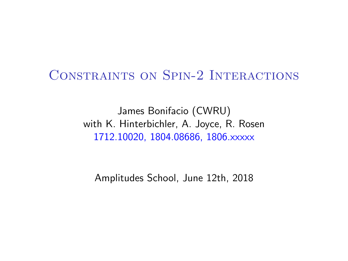### Constraints on Spin-2 Interactions

James Bonifacio (CWRU) with K. Hinterbichler, A. Joyce, R. Rosen 1712.10020, 1804.08686, 1806.xxxxx

Amplitudes School, June 12th, 2018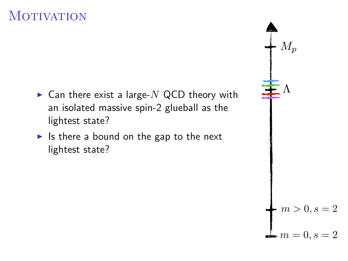# **MOTIVATION**

- $\triangleright$  Can there exist a large-N QCD theory with an isolated massive spin-2 glueball as the lightest state?
- $\blacktriangleright$  Is there a bound on the gap to the next lightest state?

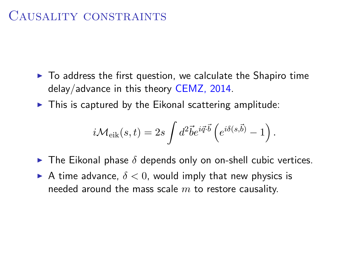### CAUSALITY CONSTRAINTS

- $\triangleright$  To address the first question, we calculate the Shapiro time delay/advance in this theory CEMZ, 2014.
- $\triangleright$  This is captured by the Eikonal scattering amplitude:

$$
i\mathcal{M}_{\rm eik}(s,t) = 2s \int d^2 \vec{b} e^{i\vec{q}\cdot\vec{b}} \left(e^{i\delta(s,\vec{b})} - 1\right).
$$

- $\triangleright$  The Eikonal phase  $\delta$  depends only on on-shell cubic vertices.
- A time advance,  $\delta < 0$ , would imply that new physics is needed around the mass scale  $m$  to restore causality.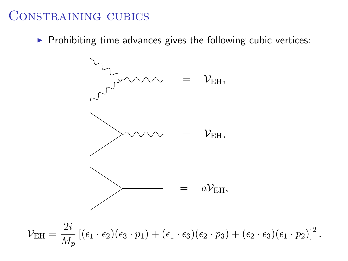#### CONSTRAINING CUBICS

 $\triangleright$  Prohibiting time advances gives the following cubic vertices:

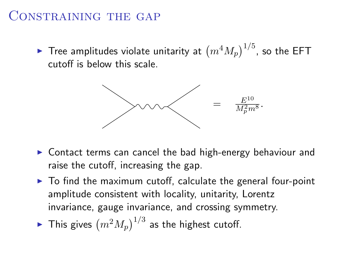### Constraining the gap

 $\blacktriangleright$  Tree amplitudes violate unitarity at  $\left(m^4 M_p\right)^{1/5}$ , so the EFT cutoff is below this scale.



- $\triangleright$  Contact terms can cancel the bad high-energy behaviour and raise the cutoff, increasing the gap.
- $\triangleright$  To find the maximum cutoff, calculate the general four-point amplitude consistent with locality, unitarity, Lorentz invariance, gauge invariance, and crossing symmetry.
- $\blacktriangleright$  This gives  $\left(m^2 M_p\right)^{1/3}$  as the highest cutoff.